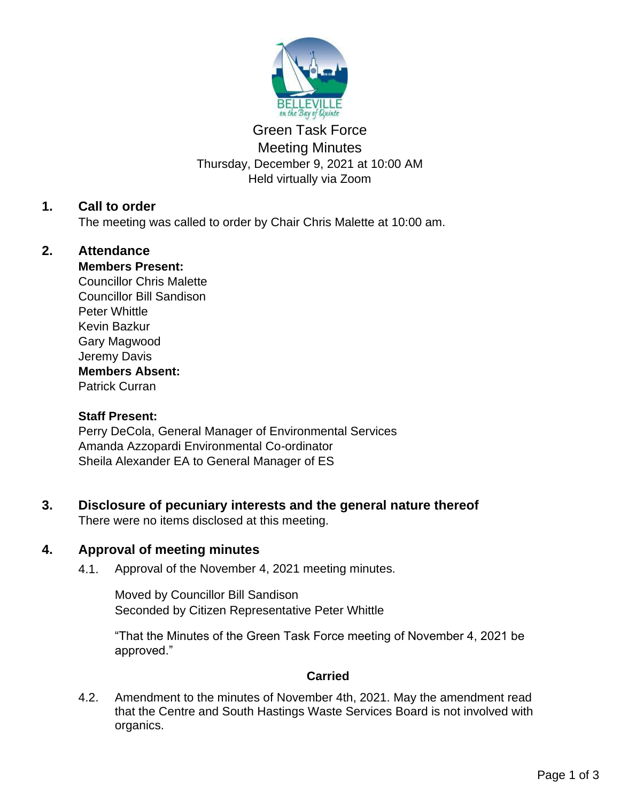

# Green Task Force Meeting Minutes Thursday, December 9, 2021 at 10:00 AM Held virtually via Zoom

# **1. Call to order**

The meeting was called to order by Chair Chris Malette at 10:00 am.

# **2. Attendance**

## **Members Present:**

Councillor Chris Malette Councillor Bill Sandison Peter Whittle Kevin Bazkur Gary Magwood Jeremy Davis **Members Absent:** Patrick Curran

### **Staff Present:**

Perry DeCola, General Manager of Environmental Services Amanda Azzopardi Environmental Co-ordinator Sheila Alexander EA to General Manager of ES

# **3. Disclosure of pecuniary interests and the general nature thereof**

There were no items disclosed at this meeting.

## **4. Approval of meeting minutes**

4.1. Approval of the November 4, 2021 meeting minutes.

Moved by Councillor Bill Sandison Seconded by Citizen Representative Peter Whittle

"That the Minutes of the Green Task Force meeting of November 4, 2021 be approved."

## **Carried**

4.2. Amendment to the minutes of November 4th, 2021. May the amendment read that the Centre and South Hastings Waste Services Board is not involved with organics.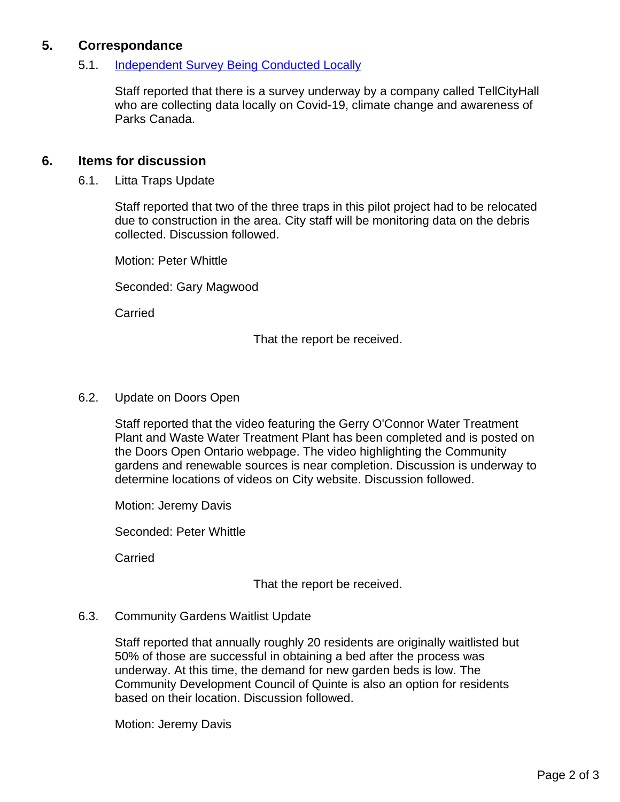# **5. Correspondance**

#### 5.1. [Independent Survey Being Conducted Locally](https://www.tellcityhall.ca/contact.html)

Staff reported that there is a survey underway by a company called TellCityHall who are collecting data locally on Covid-19, climate change and awareness of Parks Canada.

### **6. Items for discussion**

6.1. Litta Traps Update

Staff reported that two of the three traps in this pilot project had to be relocated due to construction in the area. City staff will be monitoring data on the debris collected. Discussion followed.

Motion: Peter Whittle

Seconded: Gary Magwood

Carried

That the report be received.

#### 6.2. Update on Doors Open

Staff reported that the video featuring the Gerry O'Connor Water Treatment Plant and Waste Water Treatment Plant has been completed and is posted on the Doors Open Ontario webpage. The video highlighting the Community gardens and renewable sources is near completion. Discussion is underway to determine locations of videos on City website. Discussion followed.

Motion: Jeremy Davis

Seconded: Peter Whittle

Carried

That the report be received.

#### 6.3. Community Gardens Waitlist Update

Staff reported that annually roughly 20 residents are originally waitlisted but 50% of those are successful in obtaining a bed after the process was underway. At this time, the demand for new garden beds is low. The Community Development Council of Quinte is also an option for residents based on their location. Discussion followed.

Motion: Jeremy Davis